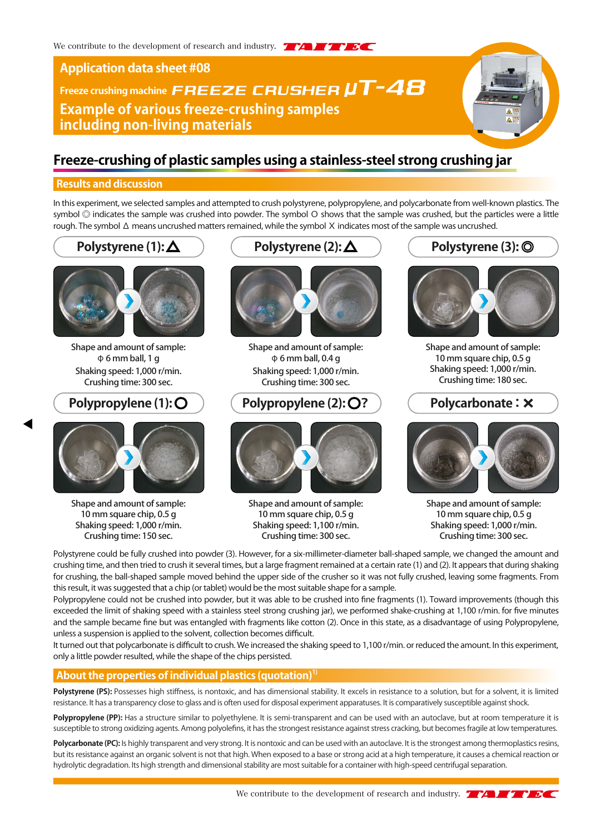# **Application data sheet #08**

# Freeze crushing machine **FREEZE CRUSHER UT-48 Example of various freeze-crushing samples including non-living materials**

# **Freeze-crushing of plastic samples using a stainless-steel strong crushing jar**

# **Results and discussion**

In this experiment, we selected samples and attempted to crush polystyrene, polypropylene, and polycarbonate from well-known plastics. The symbol ◎ indicates the sample was crushed into powder. The symbol Ο shows that the sample was crushed, but the particles were a little rough. The symbol Δ means uncrushed matters remained, while the symbol Χ indicates most of the sample was uncrushed.



Shape and amount of sample: φ 6 mm ball, 1 g Shaking speed: 1,000 r/min. Crushing time: 300 sec.



Shape and amount of sample: 10 mm square chip, 0.5 g Shaking speed: 1,000 r/min. Crushing time: 150 sec.





Shape and amount of sample: φ 6 mm ball, 0.4 g Shaking speed: 1,000 r/min. Crushing time: 300 sec.

# **Polypropylene (1):**  $\bigcirc$  $\bigcirc$  $\bigcirc$  **Polypropylene (2):**  $\bigcirc$ **?**  $\bigcirc$  **Polycarbonate:**  $\times$



Shape and amount of sample: 10 mm square chip, 0.5 g Shaking speed: 1,100 r/min. Crushing time: 300 sec.



**Polystyrene (3):** ◎

Shape and amount of sample: 10 mm square chip, 0.5 g Shaking speed: 1,000 r/min. Crushing time: 180 sec.



Shape and amount of sample: 10 mm square chip, 0.5 g Shaking speed: 1,000 r/min. Crushing time: 300 sec.

Polystyrene could be fully crushed into powder (3). However, for a six-millimeter-diameter ball-shaped sample, we changed the amount and crushing time, and then tried to crush it several times, but a large fragment remained at a certain rate (1) and (2). It appears that during shaking for crushing, the ball-shaped sample moved behind the upper side of the crusher so it was not fully crushed, leaving some fragments. From this result, it was suggested that a chip (or tablet) would be the most suitable shape for a sample.

Polypropylene could not be crushed into powder, but it was able to be crushed into fine fragments (1). Toward improvements (though this exceeded the limit of shaking speed with a stainless steel strong crushing jar), we performed shake-crushing at 1,100 r/min. for five minutes and the sample became fine but was entangled with fragments like cotton (2). Once in this state, as a disadvantage of using Polypropylene, unless a suspension is applied to the solvent, collection becomes difficult.

It turned out that polycarbonate is difficult to crush. We increased the shaking speed to 1,100 r/min. or reduced the amount. In this experiment, only a little powder resulted, while the shape of the chips persisted.

# **About the properties of individual plastics (quotation)**<sup>17</sup>

Polystyrene (PS): Possesses high stiffness, is nontoxic, and has dimensional stability. It excels in resistance to a solution, but for a solvent, it is limited resistance. It has a transparency close to glass and is often used for disposal experiment apparatuses. It is comparatively susceptible against shock.

Polypropylene (PP): Has a structure similar to polyethylene. It is semi-transparent and can be used with an autoclave, but at room temperature it is susceptible to strong oxidizing agents. Among polyolefins, it has the strongest resistance against stress cracking, but becomes fragile at low temperatures.

Polycarbonate (PC): Is highly transparent and very strong. It is nontoxic and can be used with an autoclave. It is the strongest among thermoplastics resins, but its resistance against an organic solvent is not that high. When exposed to a base or strong acid at a high temperature, it causes a chemical reaction or hydrolytic degradation. Its high strength and dimensional stability are most suitable for a container with high-speed centrifugal separation.